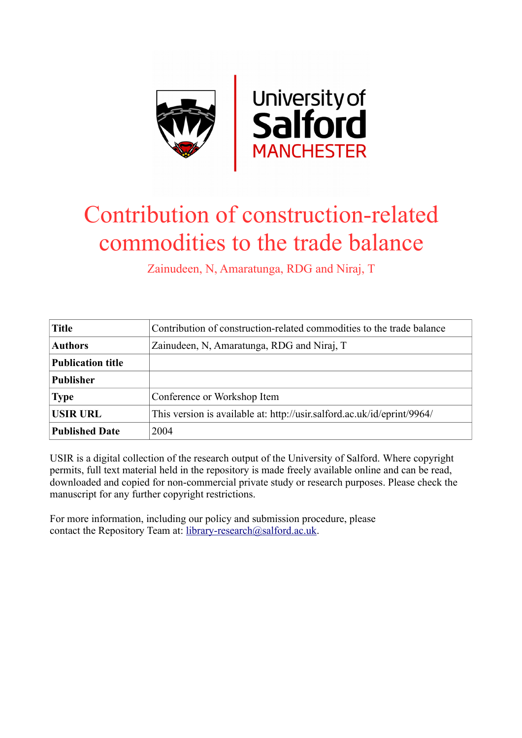

# Contribution of construction-related commodities to the trade balance

Zainudeen, N, Amaratunga, RDG and Niraj, T

| <b>Title</b>             | Contribution of construction-related commodities to the trade balance   |
|--------------------------|-------------------------------------------------------------------------|
| <b>Authors</b>           | Zainudeen, N, Amaratunga, RDG and Niraj, T                              |
| <b>Publication title</b> |                                                                         |
| <b>Publisher</b>         |                                                                         |
| <b>Type</b>              | Conference or Workshop Item                                             |
| <b>USIR URL</b>          | This version is available at: http://usir.salford.ac.uk/id/eprint/9964/ |
| <b>Published Date</b>    | 2004                                                                    |

USIR is a digital collection of the research output of the University of Salford. Where copyright permits, full text material held in the repository is made freely available online and can be read, downloaded and copied for non-commercial private study or research purposes. Please check the manuscript for any further copyright restrictions.

For more information, including our policy and submission procedure, please contact the Repository Team at: [library-research@salford.ac.uk.](mailto:library-research@salford.ac.uk)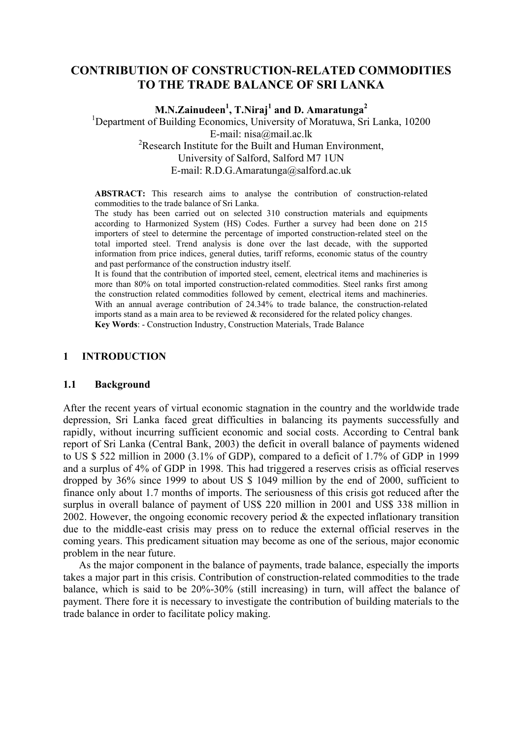# **CONTRIBUTION OF CONSTRUCTION-RELATED COMMODITIES TO THE TRADE BALANCE OF SRI LANKA**

**M.N.Zainudeen1 , T.Niraj<sup>1</sup> and D. Amaratunga<sup>2</sup>**

<sup>1</sup>Department of Building Economics, University of Moratuwa, Sri Lanka, 10200 E-mail: nisa@mail.ac.lk <sup>2</sup>Research Institute for the Built and Human Environment, University of Salford, Salford M7 1UN E-mail: R.D.G.Amaratunga@salford.ac.uk

**ABSTRACT:** This research aims to analyse the contribution of construction-related commodities to the trade balance of Sri Lanka.

The study has been carried out on selected 310 construction materials and equipments according to Harmonized System (HS) Codes. Further a survey had been done on 215 importers of steel to determine the percentage of imported construction-related steel on the total imported steel. Trend analysis is done over the last decade, with the supported information from price indices, general duties, tariff reforms, economic status of the country and past performance of the construction industry itself.

It is found that the contribution of imported steel, cement, electrical items and machineries is more than 80% on total imported construction-related commodities. Steel ranks first among the construction related commodities followed by cement, electrical items and machineries. With an annual average contribution of 24.34% to trade balance, the construction-related imports stand as a main area to be reviewed  $\&$  reconsidered for the related policy changes. **Key Words**: - Construction Industry, Construction Materials, Trade Balance

# **1 INTRODUCTION**

### **1.1 Background**

After the recent years of virtual economic stagnation in the country and the worldwide trade depression, Sri Lanka faced great difficulties in balancing its payments successfully and rapidly, without incurring sufficient economic and social costs. According to Central bank report of Sri Lanka (Central Bank, 2003) the deficit in overall balance of payments widened to US \$ 522 million in 2000 (3.1% of GDP), compared to a deficit of 1.7% of GDP in 1999 and a surplus of 4% of GDP in 1998. This had triggered a reserves crisis as official reserves dropped by 36% since 1999 to about US \$ 1049 million by the end of 2000, sufficient to finance only about 1.7 months of imports. The seriousness of this crisis got reduced after the surplus in overall balance of payment of US\$ 220 million in 2001 and US\$ 338 million in 2002. However, the ongoing economic recovery period & the expected inflationary transition due to the middle-east crisis may press on to reduce the external official reserves in the coming years. This predicament situation may become as one of the serious, major economic problem in the near future.

As the major component in the balance of payments, trade balance, especially the imports takes a major part in this crisis. Contribution of construction-related commodities to the trade balance, which is said to be 20%-30% (still increasing) in turn, will affect the balance of payment. There fore it is necessary to investigate the contribution of building materials to the trade balance in order to facilitate policy making.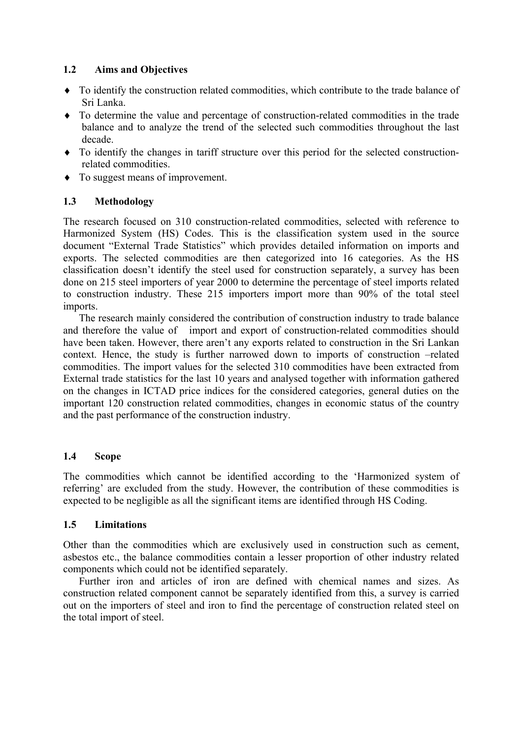# **1.2 Aims and Objectives**

- ♦ To identify the construction related commodities, which contribute to the trade balance of Sri Lanka.
- ♦ To determine the value and percentage of construction-related commodities in the trade balance and to analyze the trend of the selected such commodities throughout the last decade.
- ♦ To identify the changes in tariff structure over this period for the selected constructionrelated commodities.
- ♦ To suggest means of improvement.

# **1.3 Methodology**

The research focused on 310 construction-related commodities, selected with reference to Harmonized System (HS) Codes. This is the classification system used in the source document "External Trade Statistics" which provides detailed information on imports and exports. The selected commodities are then categorized into 16 categories. As the HS classification doesn't identify the steel used for construction separately, a survey has been done on 215 steel importers of year 2000 to determine the percentage of steel imports related to construction industry. These 215 importers import more than 90% of the total steel imports.

The research mainly considered the contribution of construction industry to trade balance and therefore the value of import and export of construction-related commodities should have been taken. However, there aren't any exports related to construction in the Sri Lankan context. Hence, the study is further narrowed down to imports of construction –related commodities. The import values for the selected 310 commodities have been extracted from External trade statistics for the last 10 years and analysed together with information gathered on the changes in ICTAD price indices for the considered categories, general duties on the important 120 construction related commodities, changes in economic status of the country and the past performance of the construction industry.

# **1.4 Scope**

The commodities which cannot be identified according to the 'Harmonized system of referring' are excluded from the study. However, the contribution of these commodities is expected to be negligible as all the significant items are identified through HS Coding.

# **1.5 Limitations**

Other than the commodities which are exclusively used in construction such as cement, asbestos etc., the balance commodities contain a lesser proportion of other industry related components which could not be identified separately.

Further iron and articles of iron are defined with chemical names and sizes. As construction related component cannot be separately identified from this, a survey is carried out on the importers of steel and iron to find the percentage of construction related steel on the total import of steel.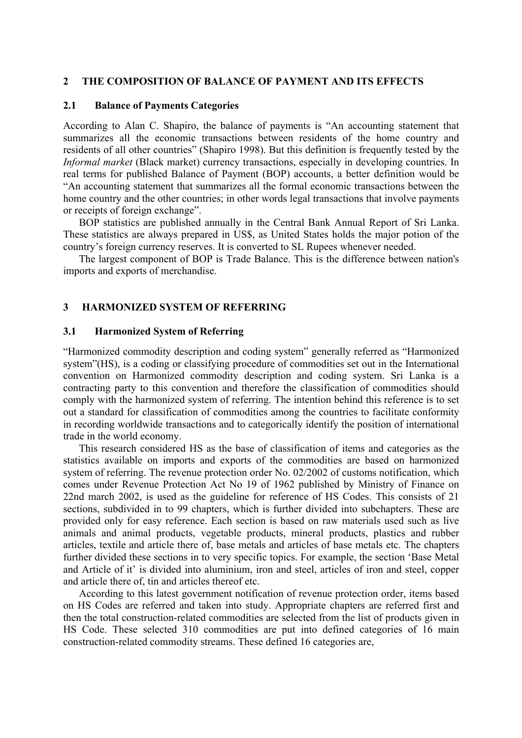### **2 THE COMPOSITION OF BALANCE OF PAYMENT AND ITS EFFECTS**

### **2.1 Balance of Payments Categories**

According to Alan C. Shapiro, the balance of payments is "An accounting statement that summarizes all the economic transactions between residents of the home country and residents of all other countries" (Shapiro 1998). But this definition is frequently tested by the *Informal market* (Black market) currency transactions, especially in developing countries. In real terms for published Balance of Payment (BOP) accounts, a better definition would be "An accounting statement that summarizes all the formal economic transactions between the home country and the other countries; in other words legal transactions that involve payments or receipts of foreign exchange".

BOP statistics are published annually in the Central Bank Annual Report of Sri Lanka. These statistics are always prepared in US\$, as United States holds the major potion of the country's foreign currency reserves. It is converted to SL Rupees whenever needed.

The largest component of BOP is Trade Balance. This is the difference between nation's imports and exports of merchandise.

### **3 HARMONIZED SYSTEM OF REFERRING**

### **3.1 Harmonized System of Referring**

"Harmonized commodity description and coding system" generally referred as "Harmonized system"(HS), is a coding or classifying procedure of commodities set out in the International convention on Harmonized commodity description and coding system. Sri Lanka is a contracting party to this convention and therefore the classification of commodities should comply with the harmonized system of referring. The intention behind this reference is to set out a standard for classification of commodities among the countries to facilitate conformity in recording worldwide transactions and to categorically identify the position of international trade in the world economy.

This research considered HS as the base of classification of items and categories as the statistics available on imports and exports of the commodities are based on harmonized system of referring. The revenue protection order No. 02/2002 of customs notification, which comes under Revenue Protection Act No 19 of 1962 published by Ministry of Finance on 22nd march 2002, is used as the guideline for reference of HS Codes. This consists of 21 sections, subdivided in to 99 chapters, which is further divided into subchapters. These are provided only for easy reference. Each section is based on raw materials used such as live animals and animal products, vegetable products, mineral products, plastics and rubber articles, textile and article there of, base metals and articles of base metals etc. The chapters further divided these sections in to very specific topics. For example, the section 'Base Metal and Article of it' is divided into aluminium, iron and steel, articles of iron and steel, copper and article there of, tin and articles thereof etc.

According to this latest government notification of revenue protection order, items based on HS Codes are referred and taken into study. Appropriate chapters are referred first and then the total construction-related commodities are selected from the list of products given in HS Code. These selected 310 commodities are put into defined categories of 16 main construction-related commodity streams. These defined 16 categories are,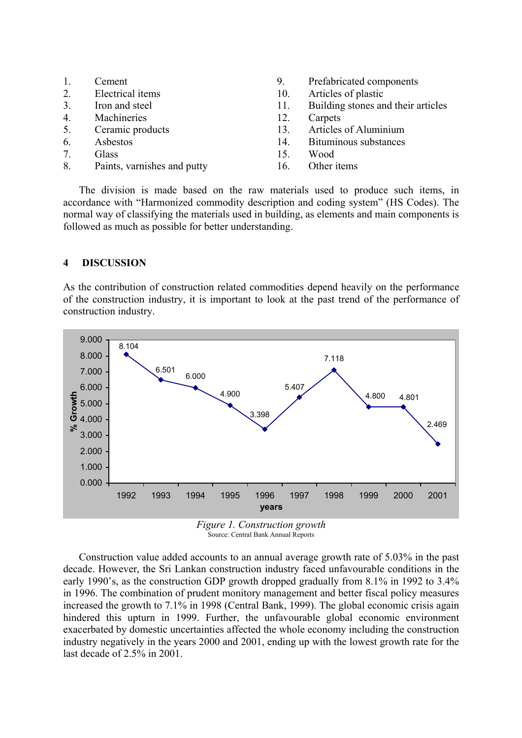| Cement |  |  |
|--------|--|--|
|        |  |  |

- 2. Electrical items
- 3. Iron and steel
- 4. Machineries
- 5. Ceramic products
- 6. Asbestos
- 7. Glass
- 8. Paints, varnishes and putty
- 9. Prefabricated components
- 10. Articles of plastic
- 11. Building stones and their articles
- 12. Carpets
- 13. Articles of Aluminium
- 14. Bituminous substances
- 15. Wood
- 16. Other items

The division is made based on the raw materials used to produce such items, in accordance with "Harmonized commodity description and coding system" (HS Codes). The normal way of classifying the materials used in building, as elements and main components is followed as much as possible for better understanding.

# **4 DISCUSSION**

As the contribution of construction related commodities depend heavily on the performance of the construction industry, it is important to look at the past trend of the performance of construction industry.



Source: Central Bank Annual Reports

Construction value added accounts to an annual average growth rate of 5.03% in the past decade. However, the Sri Lankan construction industry faced unfavourable conditions in the early 1990's, as the construction GDP growth dropped gradually from 8.1% in 1992 to 3.4% in 1996. The combination of prudent monitory management and better fiscal policy measures increased the growth to 7.1% in 1998 (Central Bank, 1999). The global economic crisis again hindered this upturn in 1999. Further, the unfavourable global economic environment exacerbated by domestic uncertainties affected the whole economy including the construction industry negatively in the years 2000 and 2001, ending up with the lowest growth rate for the last decade of 2.5% in 2001.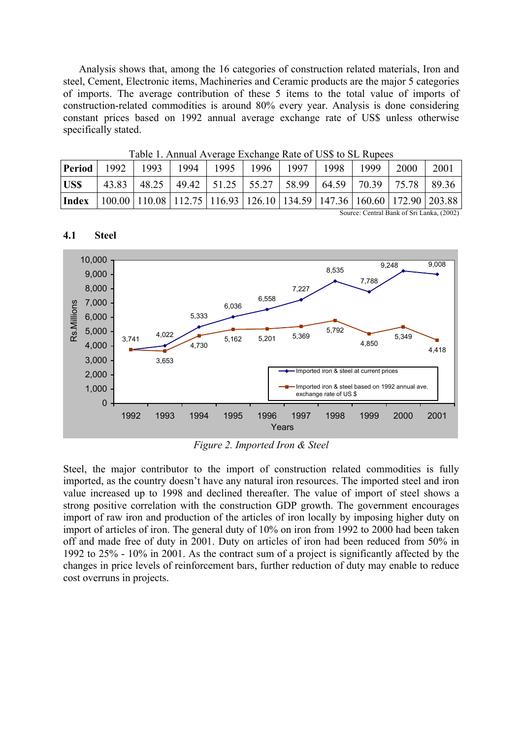Analysis shows that, among the 16 categories of construction related materials, Iron and steel, Cement, Electronic items, Machineries and Ceramic products are the major 5 categories of imports. The average contribution of these 5 items to the total value of imports of construction-related commodities is around 80% every year. Analysis is done considering constant prices based on 1992 annual average exchange rate of US\$ unless otherwise specifically stated.

| <b>Period</b> | 1992  | 1993 | 1994 | Table 1. Allitual Average Exchange Nate of US\$ to SL Nupees<br>1995                    | 1996 | 1997 | 1998 | 1999 | 2000 | 2001  |
|---------------|-------|------|------|-----------------------------------------------------------------------------------------|------|------|------|------|------|-------|
| <b>USS</b>    | 43.83 |      |      | 48.25   49.42   51.25   55.27   58.99   64.59   70.39   75.78                           |      |      |      |      |      | 89.36 |
| Index         |       |      |      | 100.00   110.08   112.75   116.93   126.10   134.59   147.36   160.60   172.90   203.88 |      |      |      |      |      |       |

 $T_{\text{c}}$  1.  $1.1$  Annual Average Exchange  $R_{\text{c}}$  to  $T_{\text{c}}$  for  $\theta$  to  $ST$   $R_{\text{c}}$ 

Source: Central Bank of Sri Lanka, (2002)

#### 3,741 4,022 5,333 6,036 6,558 7,227 8,535 7,788 3,653 4,730 5,162 5,201 5,369 5,792 4,850 5,349 4,418 9,248 9,008 0 1,000 2,000 3,000 4,000 5,000 6,000 7,000 8,000 9,000 10,000 1992 1993 1994 1995 1996 1997 1998 1999 2000 2001 Millions Years Rs. Imported iron & steel at current prices Imported iron & steel based on 1992 annual ave. exchange rate of US \$

### **4.1 Steel**

*Figure 2. Imported Iron & Steel* 

Steel, the major contributor to the import of construction related commodities is fully imported, as the country doesn't have any natural iron resources. The imported steel and iron value increased up to 1998 and declined thereafter. The value of import of steel shows a strong positive correlation with the construction GDP growth. The government encourages import of raw iron and production of the articles of iron locally by imposing higher duty on import of articles of iron. The general duty of 10% on iron from 1992 to 2000 had been taken off and made free of duty in 2001. Duty on articles of iron had been reduced from 50% in 1992 to 25% - 10% in 2001. As the contract sum of a project is significantly affected by the changes in price levels of reinforcement bars, further reduction of duty may enable to reduce cost overruns in projects.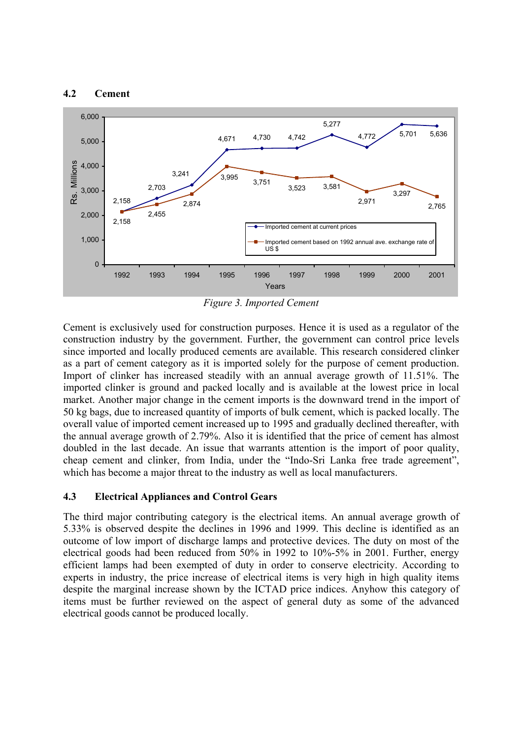### **4.2 Cement**



*Figure 3. Imported Cement* 

Cement is exclusively used for construction purposes. Hence it is used as a regulator of the construction industry by the government. Further, the government can control price levels since imported and locally produced cements are available. This research considered clinker as a part of cement category as it is imported solely for the purpose of cement production. Import of clinker has increased steadily with an annual average growth of 11.51%. The imported clinker is ground and packed locally and is available at the lowest price in local market. Another major change in the cement imports is the downward trend in the import of 50 kg bags, due to increased quantity of imports of bulk cement, which is packed locally. The overall value of imported cement increased up to 1995 and gradually declined thereafter, with the annual average growth of 2.79%. Also it is identified that the price of cement has almost doubled in the last decade. An issue that warrants attention is the import of poor quality, cheap cement and clinker, from India, under the "Indo-Sri Lanka free trade agreement", which has become a major threat to the industry as well as local manufacturers.

# **4.3 Electrical Appliances and Control Gears**

The third major contributing category is the electrical items. An annual average growth of 5.33% is observed despite the declines in 1996 and 1999. This decline is identified as an outcome of low import of discharge lamps and protective devices. The duty on most of the electrical goods had been reduced from 50% in 1992 to 10%-5% in 2001. Further, energy efficient lamps had been exempted of duty in order to conserve electricity. According to experts in industry, the price increase of electrical items is very high in high quality items despite the marginal increase shown by the ICTAD price indices. Anyhow this category of items must be further reviewed on the aspect of general duty as some of the advanced electrical goods cannot be produced locally.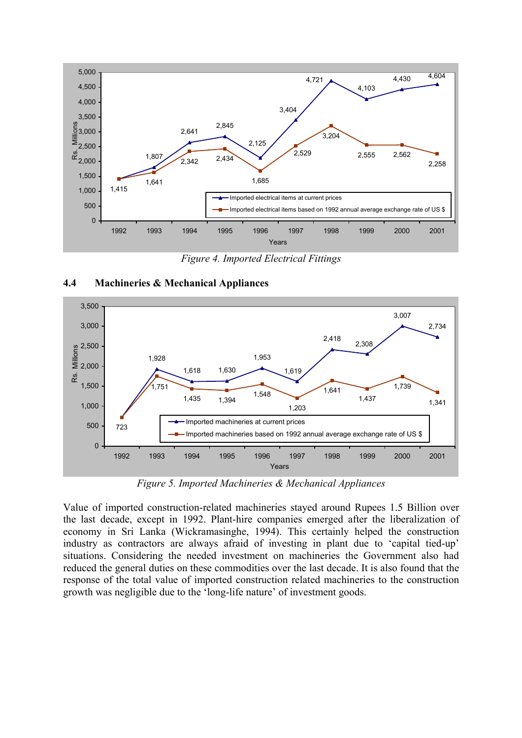

*Figure 4. Imported Electrical Fittings* 



### **4.4 Machineries & Mechanical Appliances**

*Figure 5. Imported Machineries & Mechanical Appliances* 

Value of imported construction-related machineries stayed around Rupees 1.5 Billion over the last decade, except in 1992. Plant-hire companies emerged after the liberalization of economy in Sri Lanka (Wickramasinghe, 1994). This certainly helped the construction industry as contractors are always afraid of investing in plant due to 'capital tied-up' situations. Considering the needed investment on machineries the Government also had reduced the general duties on these commodities over the last decade. It is also found that the response of the total value of imported construction related machineries to the construction growth was negligible due to the 'long-life nature' of investment goods.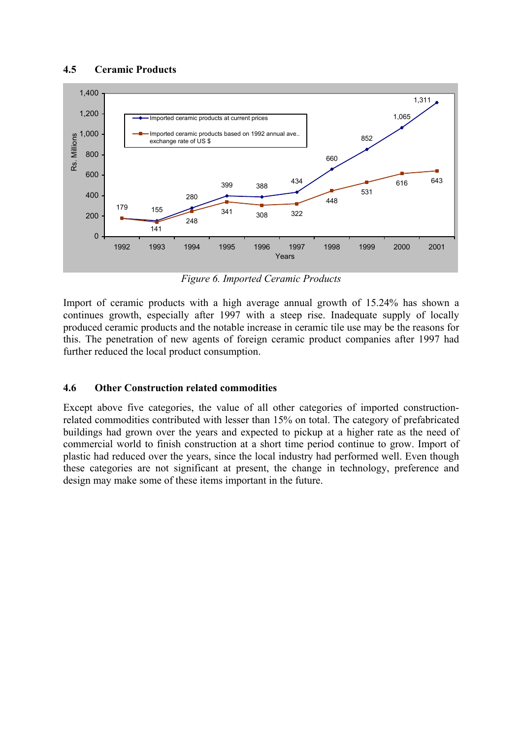# **4.5 Ceramic Products**



*Figure 6. Imported Ceramic Products* 

Import of ceramic products with a high average annual growth of 15.24% has shown a continues growth, especially after 1997 with a steep rise. Inadequate supply of locally produced ceramic products and the notable increase in ceramic tile use may be the reasons for this. The penetration of new agents of foreign ceramic product companies after 1997 had further reduced the local product consumption.

# **4.6 Other Construction related commodities**

Except above five categories, the value of all other categories of imported constructionrelated commodities contributed with lesser than 15% on total. The category of prefabricated buildings had grown over the years and expected to pickup at a higher rate as the need of commercial world to finish construction at a short time period continue to grow. Import of plastic had reduced over the years, since the local industry had performed well. Even though these categories are not significant at present, the change in technology, preference and design may make some of these items important in the future.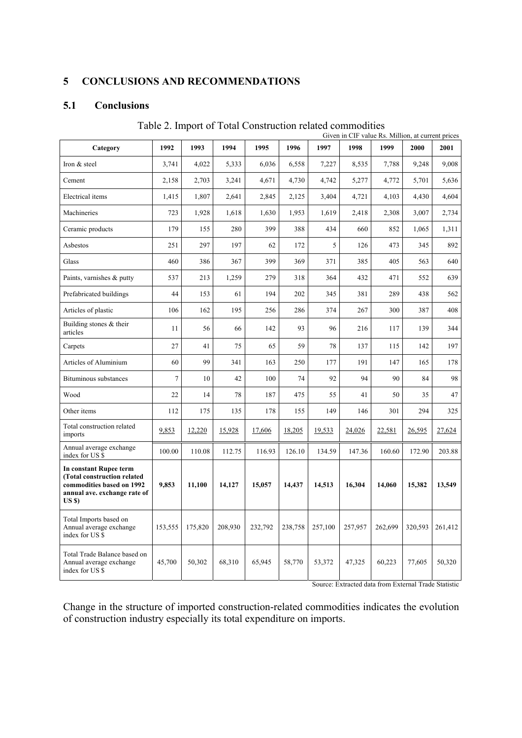## **5 CONCLUSIONS AND RECOMMENDATIONS**

## **5.1 Conclusions**

|                                                                                                                           | Given in CIF value Rs. Million, at current prices |         |         |         |         |         |         |         |         |         |
|---------------------------------------------------------------------------------------------------------------------------|---------------------------------------------------|---------|---------|---------|---------|---------|---------|---------|---------|---------|
| Category                                                                                                                  | 1992                                              | 1993    | 1994    | 1995    | 1996    | 1997    | 1998    | 1999    | 2000    | 2001    |
| Iron & steel                                                                                                              | 3,741                                             | 4,022   | 5,333   | 6,036   | 6,558   | 7,227   | 8,535   | 7,788   | 9,248   | 9.008   |
| Cement                                                                                                                    | 2,158                                             | 2,703   | 3,241   | 4,671   | 4,730   | 4,742   | 5,277   | 4,772   | 5,701   | 5,636   |
| Electrical items                                                                                                          | 1,415                                             | 1,807   | 2,641   | 2,845   | 2,125   | 3,404   | 4,721   | 4,103   | 4,430   | 4.604   |
| Machineries                                                                                                               | 723                                               | 1,928   | 1,618   | 1,630   | 1,953   | 1,619   | 2,418   | 2,308   | 3,007   | 2,734   |
| Ceramic products                                                                                                          | 179                                               | 155     | 280     | 399     | 388     | 434     | 660     | 852     | 1,065   | 1,311   |
| Asbestos                                                                                                                  | 251                                               | 297     | 197     | 62      | 172     | 5       | 126     | 473     | 345     | 892     |
| Glass                                                                                                                     | 460                                               | 386     | 367     | 399     | 369     | 371     | 385     | 405     | 563     | 640     |
| Paints, varnishes & putty                                                                                                 | 537                                               | 213     | 1,259   | 279     | 318     | 364     | 432     | 471     | 552     | 639     |
| Prefabricated buildings                                                                                                   | 44                                                | 153     | 61      | 194     | 202     | 345     | 381     | 289     | 438     | 562     |
| Articles of plastic                                                                                                       | 106                                               | 162     | 195     | 256     | 286     | 374     | 267     | 300     | 387     | 408     |
| Building stones & their<br>articles                                                                                       | 11                                                | 56      | 66      | 142     | 93      | 96      | 216     | 117     | 139     | 344     |
| Carpets                                                                                                                   | 27                                                | 41      | 75      | 65      | 59      | 78      | 137     | 115     | 142     | 197     |
| Articles of Aluminium                                                                                                     | 60                                                | 99      | 341     | 163     | 250     | 177     | 191     | 147     | 165     | 178     |
| <b>Bituminous substances</b>                                                                                              | $\overline{7}$                                    | 10      | 42      | 100     | 74      | 92      | 94      | 90      | 84      | 98      |
| Wood                                                                                                                      | 22                                                | 14      | 78      | 187     | 475     | 55      | 41      | 50      | 35      | 47      |
| Other items                                                                                                               | 112                                               | 175     | 135     | 178     | 155     | 149     | 146     | 301     | 294     | 325     |
| Total construction related<br>imports                                                                                     | 9,853                                             | 12,220  | 15,928  | 17,606  | 18,205  | 19,533  | 24,026  | 22,581  | 26,595  | 27,624  |
| Annual average exchange<br>index for US \$                                                                                | 100.00                                            | 110.08  | 112.75  | 116.93  | 126.10  | 134.59  | 147.36  | 160.60  | 172.90  | 203.88  |
| In constant Rupee term<br>(Total construction related<br>commodities based on 1992<br>annual ave. exchange rate of<br>USS | 9,853                                             | 11,100  | 14,127  | 15,057  | 14,437  | 14,513  | 16,304  | 14,060  | 15,382  | 13,549  |
| Total Imports based on<br>Annual average exchange<br>index for US \$                                                      | 153,555                                           | 175,820 | 208,930 | 232,792 | 238,758 | 257,100 | 257,957 | 262,699 | 320,593 | 261,412 |
| Total Trade Balance based on<br>Annual average exchange<br>index for US \$                                                | 45,700                                            | 50,302  | 68,310  | 65,945  | 58,770  | 53,372  | 47,325  | 60,223  | 77,605  | 50,320  |

Table 2. Import of Total Construction related commodities

Source: Extracted data from External Trade Statistic

Change in the structure of imported construction-related commodities indicates the evolution of construction industry especially its total expenditure on imports.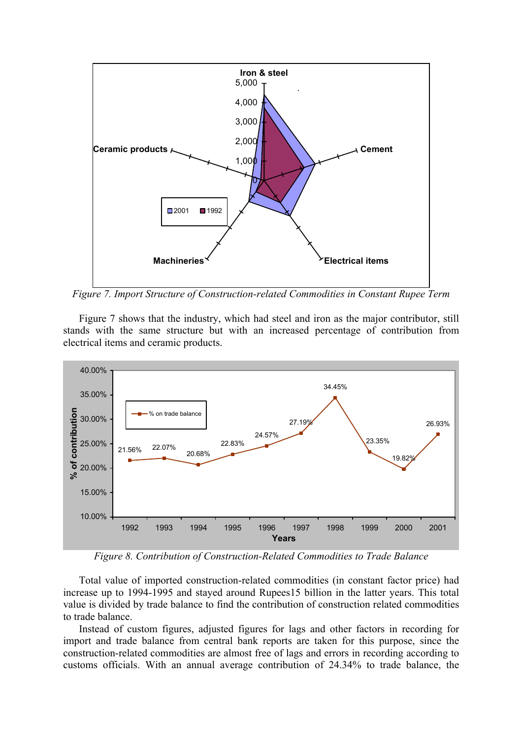

*Figure 7. Import Structure of Construction-related Commodities in Constant Rupee Term* 

Figure 7 shows that the industry, which had steel and iron as the major contributor, still stands with the same structure but with an increased percentage of contribution from electrical items and ceramic products.



*Figure 8. Contribution of Construction-Related Commodities to Trade Balance* 

Total value of imported construction-related commodities (in constant factor price) had increase up to 1994-1995 and stayed around Rupees15 billion in the latter years. This total value is divided by trade balance to find the contribution of construction related commodities to trade balance.

Instead of custom figures, adjusted figures for lags and other factors in recording for import and trade balance from central bank reports are taken for this purpose, since the construction-related commodities are almost free of lags and errors in recording according to customs officials. With an annual average contribution of 24.34% to trade balance, the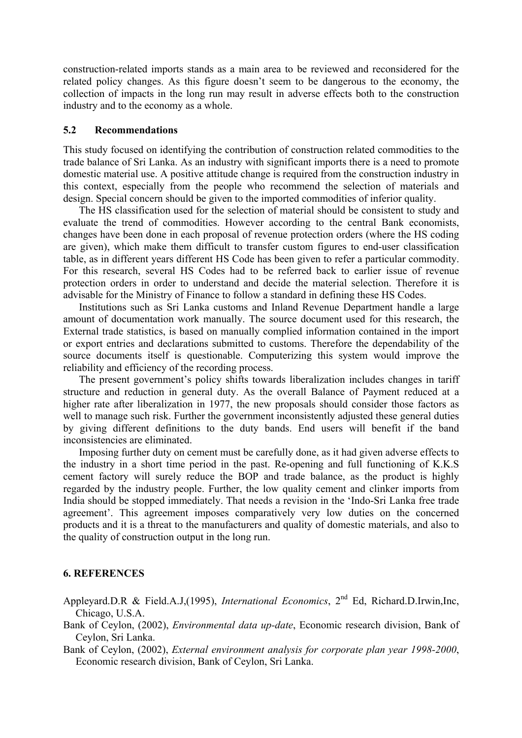construction-related imports stands as a main area to be reviewed and reconsidered for the related policy changes. As this figure doesn't seem to be dangerous to the economy, the collection of impacts in the long run may result in adverse effects both to the construction industry and to the economy as a whole.

### **5.2 Recommendations**

This study focused on identifying the contribution of construction related commodities to the trade balance of Sri Lanka. As an industry with significant imports there is a need to promote domestic material use. A positive attitude change is required from the construction industry in this context, especially from the people who recommend the selection of materials and design. Special concern should be given to the imported commodities of inferior quality.

The HS classification used for the selection of material should be consistent to study and evaluate the trend of commodities. However according to the central Bank economists, changes have been done in each proposal of revenue protection orders (where the HS coding are given), which make them difficult to transfer custom figures to end-user classification table, as in different years different HS Code has been given to refer a particular commodity. For this research, several HS Codes had to be referred back to earlier issue of revenue protection orders in order to understand and decide the material selection. Therefore it is advisable for the Ministry of Finance to follow a standard in defining these HS Codes.

Institutions such as Sri Lanka customs and Inland Revenue Department handle a large amount of documentation work manually. The source document used for this research, the External trade statistics, is based on manually complied information contained in the import or export entries and declarations submitted to customs. Therefore the dependability of the source documents itself is questionable. Computerizing this system would improve the reliability and efficiency of the recording process.

The present government's policy shifts towards liberalization includes changes in tariff structure and reduction in general duty. As the overall Balance of Payment reduced at a higher rate after liberalization in 1977, the new proposals should consider those factors as well to manage such risk. Further the government inconsistently adjusted these general duties by giving different definitions to the duty bands. End users will benefit if the band inconsistencies are eliminated.

Imposing further duty on cement must be carefully done, as it had given adverse effects to the industry in a short time period in the past. Re-opening and full functioning of K.K.S cement factory will surely reduce the BOP and trade balance, as the product is highly regarded by the industry people. Further, the low quality cement and clinker imports from India should be stopped immediately. That needs a revision in the 'Indo-Sri Lanka free trade agreement'. This agreement imposes comparatively very low duties on the concerned products and it is a threat to the manufacturers and quality of domestic materials, and also to the quality of construction output in the long run.

### **6. REFERENCES**

- Appleyard.D.R & Field.A.J,(1995), *International Economics*, 2nd Ed, Richard.D.Irwin,Inc, Chicago, U.S.A.
- Bank of Ceylon, (2002), *Environmental data up-date*, Economic research division, Bank of Ceylon, Sri Lanka.

Bank of Ceylon, (2002), *External environment analysis for corporate plan year 1998-2000*, Economic research division, Bank of Ceylon, Sri Lanka.